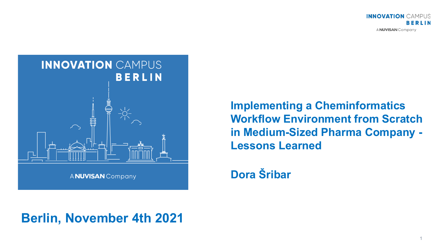



**Implementing a Cheminformatics Workflow Environment from Scratch in Medium-Sized Pharma Company - Lessons Learned**

**Dora Šribar**

## **Berlin, November 4th 2021**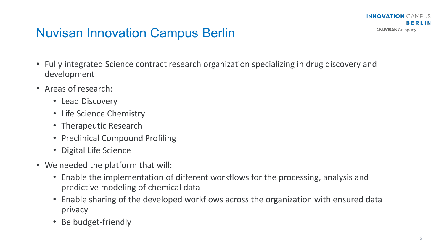

## Nuvisan Innovation Campus Berlin

- Fully integrated Science contract research organization specializing in drug discovery and development
- Areas of research:
	- Lead Discovery
	- Life Science Chemistry
	- Therapeutic Research
	- Preclinical Compound Profiling
	- Digital Life Science
- We needed the platform that will:
	- Enable the implementation of different workflows for the processing, analysis and predictive modeling of chemical data
	- Enable sharing of the developed workflows across the organization with ensured data privacy
	- Be budget-friendly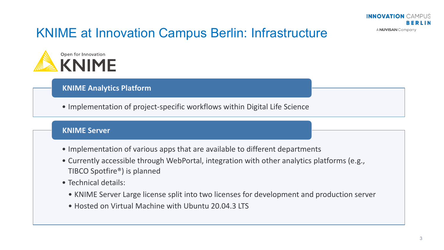# KNIME at Innovation Campus Berlin: Infrastructure



#### **KNIME Analytics Platform**

• Implementation of project-specific workflows within Digital Life Science

#### **KNIME Server**

- Implementation of various apps that are available to different departments
- Currently accessible through WebPortal, integration with other analytics platforms (e.g., TIBCO Spotfire®) is planned
- Technical details:
	- KNIME Server Large license split into two licenses for development and production server
	- Hosted on Virtual Machine with Ubuntu 20.04.3 LTS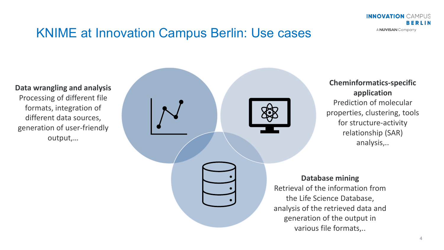**INNOVATION CAMPUS** BERLIN A NUVISAN Company

## KNIME at Innovation Campus Berlin: Use cases

**Data wrangling and analysis** Processing of different file formats, integration of different data sources, generation of user-friendly output,…



**Cheminformatics-specific application** Prediction of molecular properties, clustering, tools for structure-activity relationship (SAR) analysis,..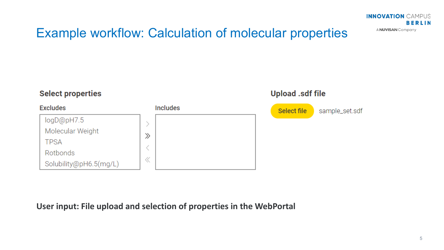# Example workflow: Calculation of molecular properties



#### **User input: File upload and selection of properties in the WebPortal**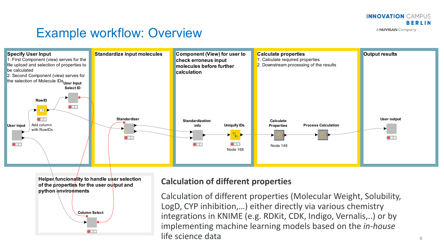# Example workflow: Overview





#### **Calculation of different properties**

Calculation of different properties (Molecular Weight, Solubility, LogD, CYP inhibition,…) either directly via various chemistry integrations in KNIME (e.g. RDKit, CDK, Indigo, Vernalis,..) or by implementing machine learning models based on the *in-house* life science data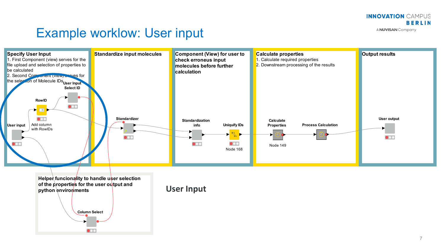# Example worklow: User input



**Helper funcionality to handle user selection of the properties for the user output and python environments Column Select**

**User Input**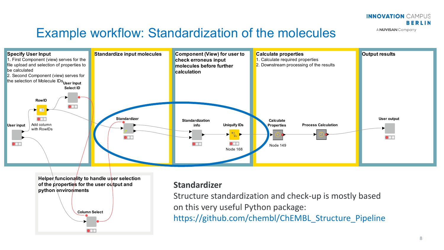## Example workflow: Standardization of the molecules



**Helper funcionality to handle user selection of the properties for the user output and** python environments **Column Select**

#### **Standardizer**

Structure standardization and check-up is mostly based on this very useful Python package:

https://github.com/chembl/ChEMBL\_Structure\_Pipeline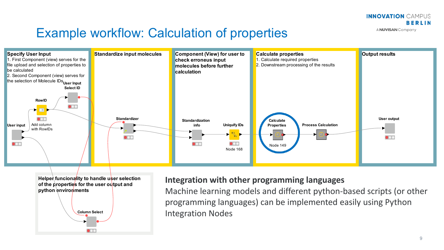## Example workflow: Calculation of properties





#### **Integration with other programming languages**

Machine learning models and different python-based scripts (or other programming languages) can be implemented easily using Python Integration Nodes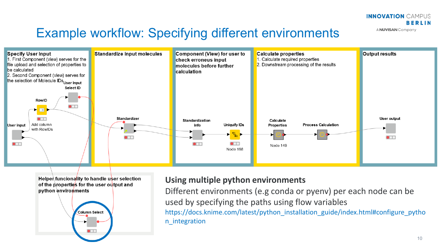# Example workflow: Specifying different environments



Helper funcionality to handle user selection of the properties for the user output and python environments



#### **Using multiple python environments**

Different environments (e.g conda or pyenv) per each node can be used by specifying the paths using flow variables https://docs.knime.com/latest/python\_installation\_guide/index.html#configure\_pytho n\_integration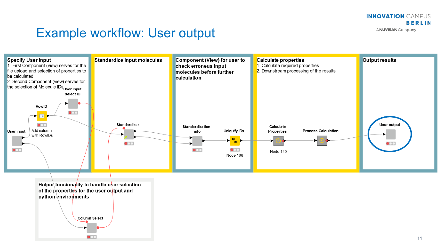## Example workflow: User output



of the properties for the user output and python environments **Column Select** 

 $\bullet$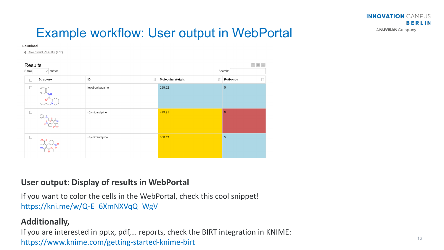## Example workflow: User output in WebPortal

#### **Download**

? Download Results (sdf)

| Results |                  |                         |                      |                                           | $\boxminus$ X $\equiv$           |
|---------|------------------|-------------------------|----------------------|-------------------------------------------|----------------------------------|
|         | Show             | entries<br>$\checkmark$ | Search:              |                                           |                                  |
|         | $\Box$           | <b>Structure</b>        | $\downarrow$ î<br>ID | $\downarrow$ î<br><b>Molecular Weight</b> | $\downarrow\uparrow$<br>Rotbonds |
|         | $\Box$           |                         | levobupivacaine      | 288.22                                    | $5\,$                            |
|         | $\hfill \square$ |                         | (S)-nicardipine      | 479.21                                    | $\overline{9}$                   |
|         | $\Box$           |                         | (S)-nitrendipine     | 360.13                                    | $5\overline{)}$                  |

#### **User output: Display of results in WebPortal**

If you want to color the cells in the WebPortal, check this cool snippet! https://kni.me/w/Q-E\_6XmNXVqQ\_WgV

#### **Additionally,**

If you are interested in pptx, pdf,… reports, check the BIRT integration in KNIME: https://www.knime.com/getting-started-knime-birt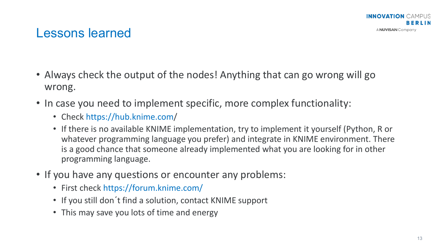## Lessons learned

- Always check the output of the nodes! Anything that can go wrong will go wrong.
- In case you need to implement specific, more complex functionality:
	- Check https://hub.knime.com/
	- If there is no available KNIME implementation, try to implement it yourself (Python, R or whatever programming language you prefer) and integrate in KNIME environment. There is a good chance that someone already implemented what you are looking for in other programming language.
- If you have any questions or encounter any problems:
	- First check https://forum.knime.com/
	- If you still don't find a solution, contact KNIME support
	- This may save you lots of time and energy